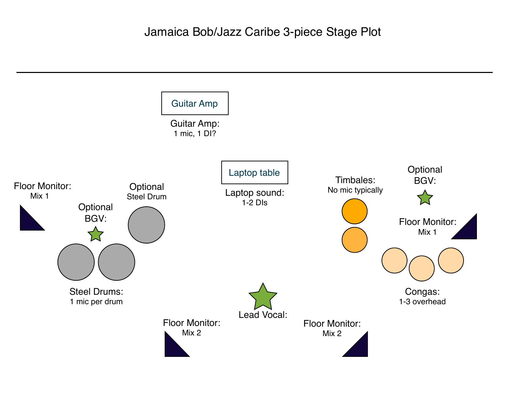